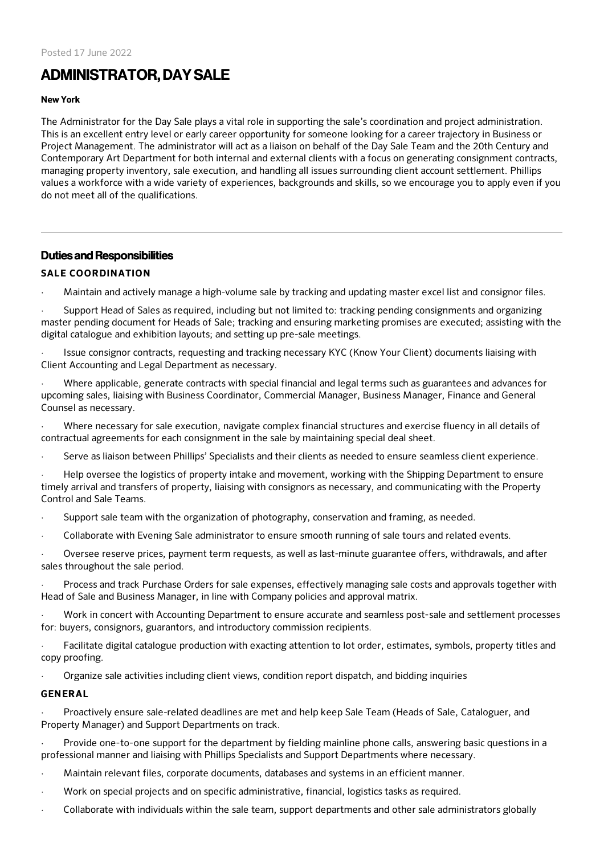# ADMINISTRATOR, DAY SALE

#### New York

The Administrator for the Day Sale plays a vital role in supporting the sale's coordination and project administration. This is an excellent entry level or early career opportunity for someone looking for a career trajectory in Business or Project Management. The administrator will act as a liaison on behalf of the Day Sale Team and the 20th Century and Contemporary Art Department for both internal and external clients with a focus on generating consignment contracts, managing property inventory, sale execution, and handling all issues surrounding client account settlement. Phillips values a workforce with a wide variety of experiences, backgrounds and skills, so we encourage you to apply even if you do not meet all of the qualifications.

## Duties and Responsibilities

## SALE COORDINATION

· Maintain and actively manage a high-volume sale by tracking and updating master excel list and consignor files.

Support Head of Sales as required, including but not limited to: tracking pending consignments and organizing master pending document for Heads of Sale; tracking and ensuring marketing promises are executed; assisting with the digital catalogue and exhibition layouts; and setting up pre-sale meetings.

· Issue consignor contracts, requesting and tracking necessary KYC (Know Your Client) documents liaising with Client Accounting and Legal Department as necessary.

· Where applicable, generate contracts with special financial and legal terms such as guarantees and advances for upcoming sales, liaising with Business Coordinator, Commercial Manager, Business Manager, Finance and General Counsel as necessary.

· Where necessary for sale execution, navigate complex financial structures and exercise fluency in all details of contractual agreements for each consignment in the sale by maintaining special deal sheet.

Serve as liaison between Phillips' Specialists and their clients as needed to ensure seamless client experience.

· Help oversee the logistics of property intake and movement, working with the Shipping Department to ensure timely arrival and transfers of property, liaising with consignors as necessary, and communicating with the Property Control and Sale Teams.

· Support sale team with the organization of photography, conservation and framing, as needed.

· Collaborate with Evening Sale administrator to ensure smooth running of sale tours and related events.

Oversee reserve prices, payment term requests, as well as last-minute guarantee offers, withdrawals, and after sales throughout the sale period.

· Process and track Purchase Orders for sale expenses, effectively managing sale costs and approvals together with Head of Sale and Business Manager, in line with Company policies and approval matrix.

Work in concert with Accounting Department to ensure accurate and seamless post-sale and settlement processes for: buyers, consignors, guarantors, and introductory commission recipients.

Facilitate digital catalogue production with exacting attention to lot order, estimates, symbols, property titles and copy proofing.

· Organize sale activities including client views, condition report dispatch, and bidding inquiries

## GENERAL

· Proactively ensure sale-related deadlines are met and help keep Sale Team (Heads of Sale, Cataloguer, and Property Manager) and Support Departments on track.

Provide one-to-one support for the department by fielding mainline phone calls, answering basic questions in a professional manner and liaising with Phillips Specialists and Support Departments where necessary.

- · Maintain relevant files, corporate documents, databases and systems in an efficient manner.
- · Work on special projects and on specific administrative, financial, logistics tasks as required.
- · Collaborate with individuals within the sale team, support departments and other sale administrators globally